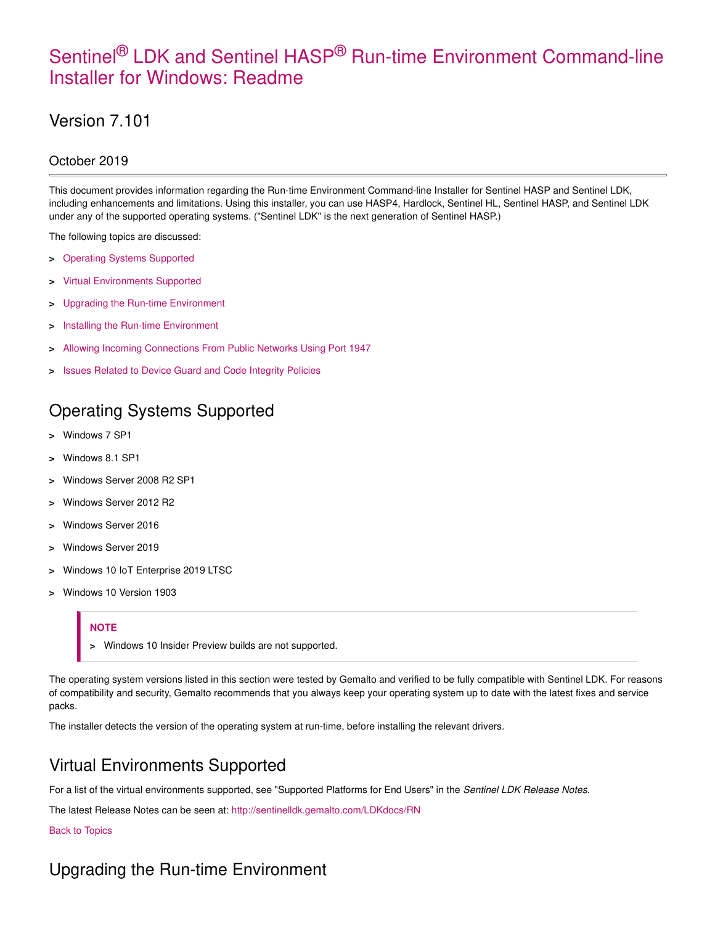# Sentinel<sup>®</sup> LDK and Sentinel HASP<sup>®</sup> Run-time Environment Command-line Installer for Windows: Readme

# Version 7.101

## October 2019

This document provides information regarding the Run-time Environment Command-line Installer for Sentinel HASP and Sentinel LDK, including enhancements and limitations. Using this installer, you can use HASP4, Hardlock, Sentinel HL, Sentinel HASP, and Sentinel LDK under any of the supported operating systems. ("Sentinel LDK" is the next generation of Sentinel HASP.)

The following topics are discussed:

- **>** Operating Systems Supported
- **>** Virtual Environments Supported
- **>** Upgrading the Run-time Environment
- **>** Installing the Run-time Environment
- **>** Allowing Incoming Connections From Public Networks Using Port 1947
- **>** Issues Related to Device Guard and Code Integrity Policies

# Operating Systems Supported

- **>** Windows 7 SP1
- **>** Windows 8.1 SP1
- **>** Windows Server 2008 R2 SP1
- **>** Windows Server 2012 R2
- **>** Windows Server 2016
- **>** Windows Server 2019
- **>** Windows 10 IoT Enterprise 2019 LTSC
- **>** Windows 10 Version 1903

#### **NOTE**

**>** Windows 10 Insider Preview builds are not supported.

The operating system versions listed in this section were tested by Gemalto and verified to be fully compatible with Sentinel LDK. For reasons of compatibility and security, Gemalto recommends that you always keep your operating system up to date with the latest fixes and service packs.

The installer detects the version of the operating system at run-time, before installing the relevant drivers.

## Virtual Environments Supported

For a list of the virtual environments supported, see "Supported Platforms for End Users" in the Sentinel LDK Release Notes.

The latest Release Notes can be seen at: http://sentinelldk.gemalto.com/LDKdocs/RN

#### Back to Topics

## Upgrading the Run-time Environment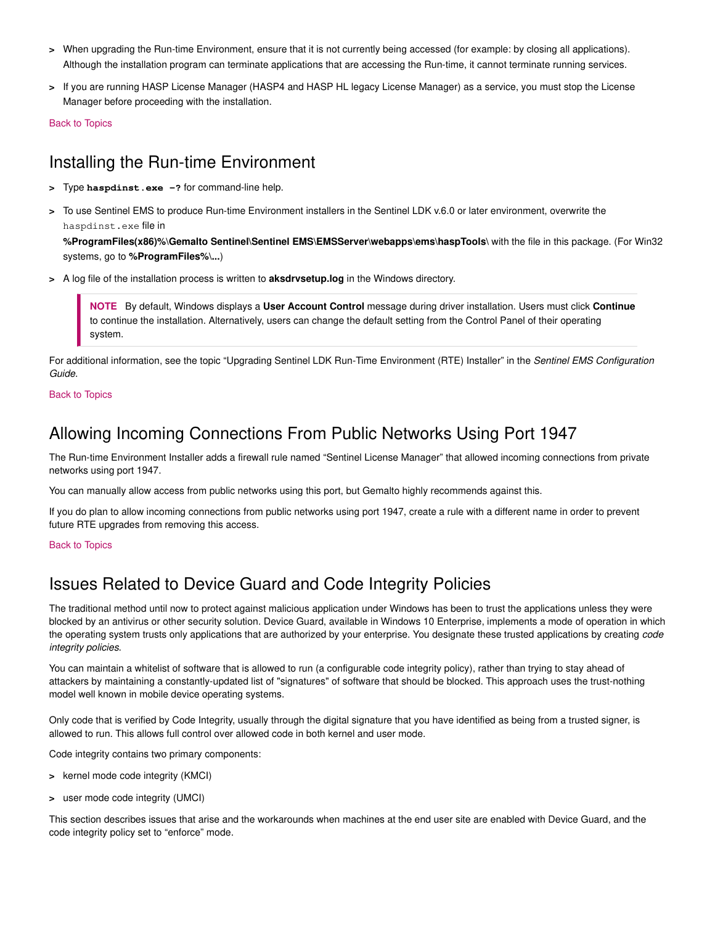- **>** When upgrading the Run-time Environment, ensure that it is not currently being accessed (for example: by closing all applications). Although the installation program can terminate applications that are accessing the Run-time, it cannot terminate running services.
- **>** If you are running HASP License Manager (HASP4 and HASP HL legacy License Manager) as a service, you must stop the License Manager before proceeding with the installation.

Back to Topics

# Installing the Run-time Environment

- **>** Type **haspdinst.exe -?** for command-line help.
- **>** To use Sentinel EMS to produce Run-time Environment installers in the Sentinel LDK v.6.0 or later environment, overwrite the haspdinst.exe file in

**%ProgramFiles(x86)%\Gemalto Sentinel\Sentinel EMS\EMSServer\webapps\ems\haspTools\** with the file in this package. (For Win32 systems, go to **%ProgramFiles%\...**)

**>** A log file of the installation process is written to **aksdrvsetup.log** in the Windows directory.

**NOTE** By default, Windows displays a **User Account Control** message during driver installation. Users must click **Continue** to continue the installation. Alternatively, users can change the default setting from the Control Panel of their operating system.

For additional information, see the topic "Upgrading Sentinel LDK Run-Time Environment (RTE) Installer" in the Sentinel EMS Configuration Guide.

#### Back to Topics

## Allowing Incoming Connections From Public Networks Using Port 1947

The Run-time Environment Installer adds a firewall rule named "Sentinel License Manager" that allowed incoming connections from private networks using port 1947.

You can manually allow access from public networks using this port, but Gemalto highly recommends against this.

If you do plan to allow incoming connections from public networks using port 1947, create a rule with a different name in order to prevent future RTE upgrades from removing this access.

#### Back to Topics

## Issues Related to Device Guard and Code Integrity Policies

The traditional method until now to protect against malicious application under Windows has been to trust the applications unless they were blocked by an antivirus or other security solution. Device Guard, available in Windows 10 Enterprise, implements a mode of operation in which the operating system trusts only applications that are authorized by your enterprise. You designate these trusted applications by creating code integrity policies.

You can maintain a whitelist of software that is allowed to run (a configurable code integrity policy), rather than trying to stay ahead of attackers by maintaining a constantly-updated list of "signatures" of software that should be blocked. This approach uses the trust-nothing model well known in mobile device operating systems.

Only code that is verified by Code Integrity, usually through the digital signature that you have identified as being from a trusted signer, is allowed to run. This allows full control over allowed code in both kernel and user mode.

Code integrity contains two primary components:

- **>** kernel mode code integrity (KMCI)
- **>** user mode code integrity (UMCI)

This section describes issues that arise and the workarounds when machines at the end user site are enabled with Device Guard, and the code integrity policy set to "enforce" mode.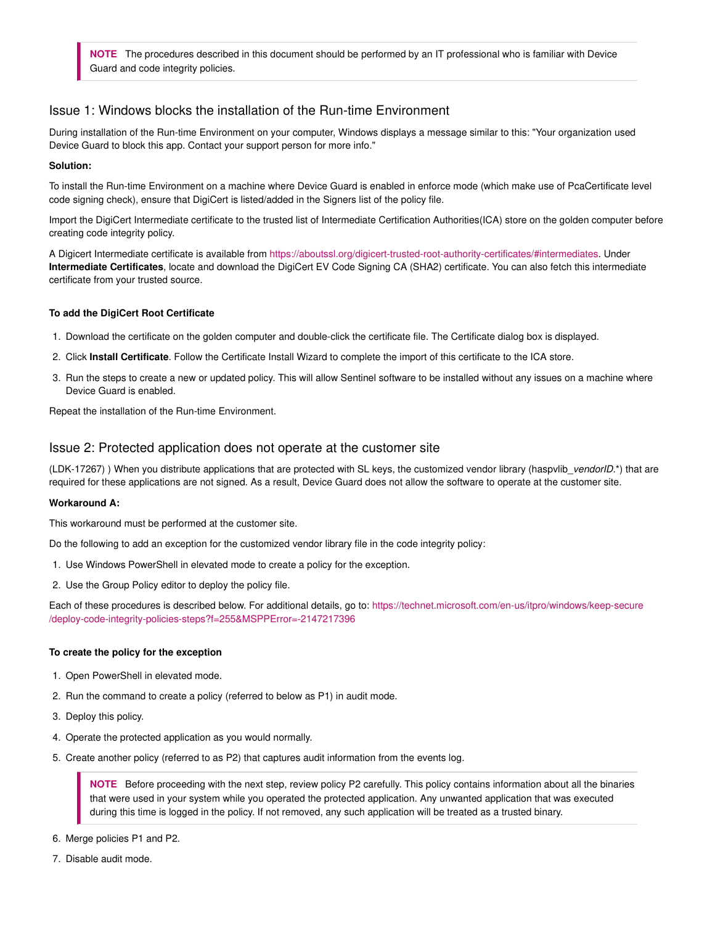**NOTE** The procedures described in this document should be performed by an IT professional who is familiar with Device Guard and code integrity policies.

### Issue 1: Windows blocks the installation of the Run-time Environment

During installation of the Run-time Environment on your computer, Windows displays a message similar to this: "Your organization used Device Guard to block this app. Contact your support person for more info."

#### **Solution:**

To install the Run-time Environment on a machine where Device Guard is enabled in enforce mode (which make use of PcaCertificate level code signing check), ensure that DigiCert is listed/added in the Signers list of the policy file.

Import the DigiCert Intermediate certificate to the trusted list of Intermediate Certification Authorities(ICA) store on the golden computer before creating code integrity policy.

A Digicert Intermediate certificate is available from https://aboutssl.org/digicert-trusted-root-authority-certificates/#intermediates. Under **Intermediate Certificates**, locate and download the DigiCert EV Code Signing CA (SHA2) certificate. You can also fetch this intermediate certificate from your trusted source.

#### **To add the DigiCert Root Certificate**

- 1. Download the certificate on the golden computer and double-click the certificate file. The Certificate dialog box is displayed.
- 2. Click **Install Certificate**. Follow the Certificate Install Wizard to complete the import of this certificate to the ICA store.
- 3. Run the steps to create a new or updated policy. This will allow Sentinel software to be installed without any issues on a machine where Device Guard is enabled.

Repeat the installation of the Run-time Environment.

### Issue 2: Protected application does not operate at the customer site

(LDK-17267) ) When you distribute applications that are protected with SL keys, the customized vendor library (haspvlib\_vendorID.\*) that are required for these applications are not signed. As a result, Device Guard does not allow the software to operate at the customer site.

#### **Workaround A:**

This workaround must be performed at the customer site.

Do the following to add an exception for the customized vendor library file in the code integrity policy:

- 1. Use Windows PowerShell in elevated mode to create a policy for the exception.
- 2. Use the Group Policy editor to deploy the policy file.

Each of these procedures is described below. For additional details, go to: https://technet.microsoft.com/en-us/itpro/windows/keep-secure /deploy-code-integrity-policies-steps?f=255&MSPPError=-2147217396

#### **To create the policy for the exception**

- 1. Open PowerShell in elevated mode.
- 2. Run the command to create a policy (referred to below as P1) in audit mode.
- 3. Deploy this policy.
- 4. Operate the protected application as you would normally.
- 5. Create another policy (referred to as P2) that captures audit information from the events log.

**NOTE** Before proceeding with the next step, review policy P2 carefully. This policy contains information about all the binaries that were used in your system while you operated the protected application. Any unwanted application that was executed during this time is logged in the policy. If not removed, any such application will be treated as a trusted binary.

- 6. Merge policies P1 and P2.
- 7. Disable audit mode.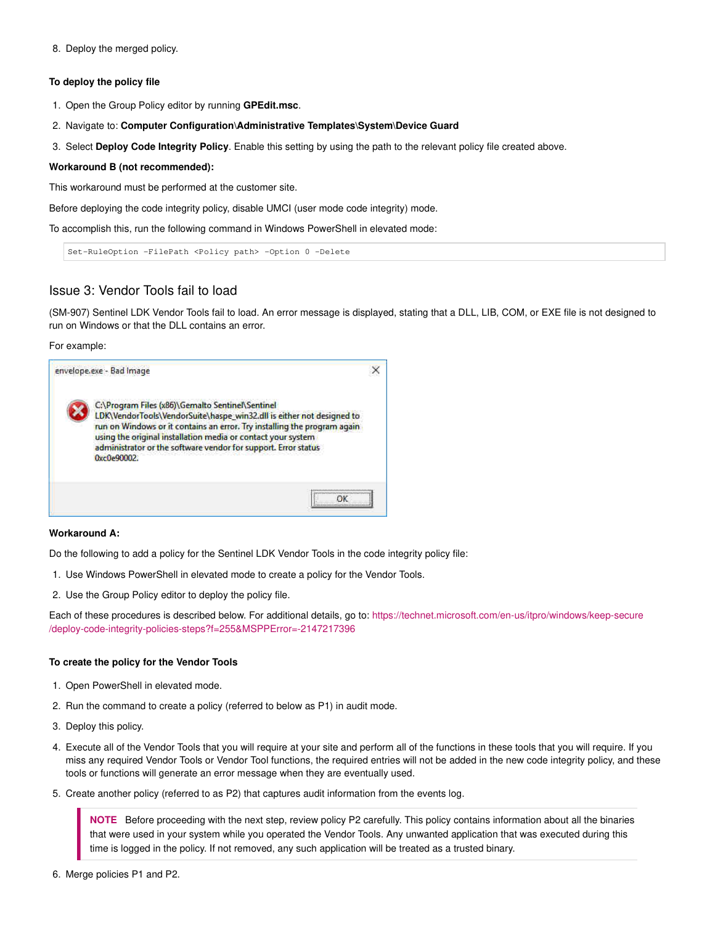8. Deploy the merged policy.

#### **To deploy the policy file**

- 1. Open the Group Policy editor by running **GPEdit.msc**.
- 2. Navigate to: **Computer Configuration\Administrative Templates\System\Device Guard**
- 3. Select **Deploy Code Integrity Policy**. Enable this setting by using the path to the relevant policy file created above.

#### **Workaround B (not recommended):**

This workaround must be performed at the customer site.

Before deploying the code integrity policy, disable UMCI (user mode code integrity) mode.

To accomplish this, run the following command in Windows PowerShell in elevated mode:

Set-RuleOption -FilePath <Policy path> -Option 0 -Delete

### Issue 3: Vendor Tools fail to load

(SM-907) Sentinel LDK Vendor Tools fail to load. An error message is displayed, stating that a DLL, LIB, COM, or EXE file is not designed to run on Windows or that the DLL contains an error.

For example:



#### **Workaround A:**

Do the following to add a policy for the Sentinel LDK Vendor Tools in the code integrity policy file:

- 1. Use Windows PowerShell in elevated mode to create a policy for the Vendor Tools.
- 2. Use the Group Policy editor to deploy the policy file.

Each of these procedures is described below. For additional details, go to: https://technet.microsoft.com/en-us/itpro/windows/keep-secure /deploy-code-integrity-policies-steps?f=255&MSPPError=-2147217396

#### **To create the policy for the Vendor Tools**

- 1. Open PowerShell in elevated mode.
- 2. Run the command to create a policy (referred to below as P1) in audit mode.
- 3. Deploy this policy.
- 4. Execute all of the Vendor Tools that you will require at your site and perform all of the functions in these tools that you will require. If you miss any required Vendor Tools or Vendor Tool functions, the required entries will not be added in the new code integrity policy, and these tools or functions will generate an error message when they are eventually used.
- 5. Create another policy (referred to as P2) that captures audit information from the events log.

**NOTE** Before proceeding with the next step, review policy P2 carefully. This policy contains information about all the binaries that were used in your system while you operated the Vendor Tools. Any unwanted application that was executed during this time is logged in the policy. If not removed, any such application will be treated as a trusted binary.